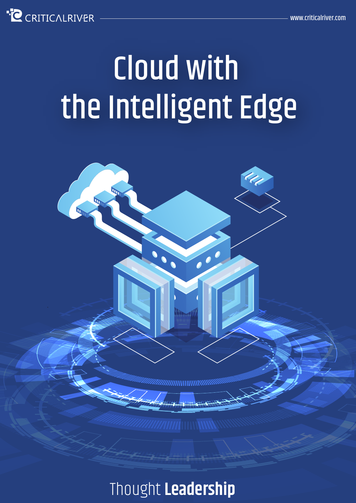

# Cloud with the Intelligent Edge



#### Thought **Leadership**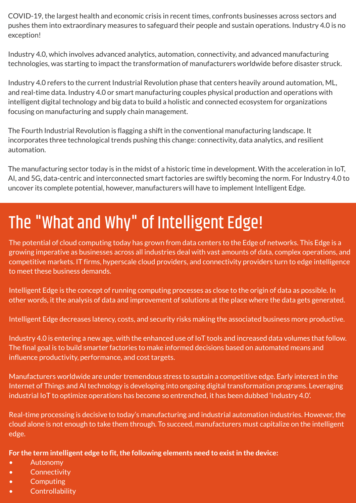COVID-19, the largest health and economic crisis in recent times, confronts businesses across sectors and pushes them into extraordinary measures to safeguard their people and sustain operations. Industry 4.0 is no exception!

Industry 4.0, which involves advanced analytics, automation, connectivity, and advanced manufacturing technologies, was starting to impact the transformation of manufacturers worldwide before disaster struck.

Industry 4.0 refers to the current Industrial Revolution phase that centers heavily around automation, ML, and real-time data. Industry 4.0 or smart manufacturing couples physical production and operations with intelligent digital technology and big data to build a holistic and connected ecosystem for organizations focusing on manufacturing and supply chain management.

The Fourth Industrial Revolution is flagging a shift in the conventional manufacturing landscape. It incorporates three technological trends pushing this change: connectivity, data analytics, and resilient automation.

The manufacturing sector today is in the midst of a historic time in development. With the acceleration in IoT, AI, and 5G, data-centric and interconnected smart factories are swiftly becoming the norm. For Industry 4.0 to uncover its complete potential, however, manufacturers will have to implement Intelligent Edge.

# The "What and Why" of Intelligent Edge!

The potential of cloud computing today has grown from data centers to the Edge of networks. This Edge is a growing imperative as businesses across all industries deal with vast amounts of data, complex operations, and competitive markets. IT firms, hyperscale cloud providers, and connectivity providers turn to edge intelligence to meet these business demands.

Intelligent Edge is the concept of running computing processes as close to the origin of data as possible. In other words, it the analysis of data and improvement of solutions at the place where the data gets generated.

Intelligent Edge decreases latency, costs, and security risks making the associated business more productive.

Industry 4.0 is entering a new age, with the enhanced use of IoT tools and increased data volumes that follow. The final goal is to build smarter factories to make informed decisions based on automated means and influence productivity, performance, and cost targets.

Manufacturers worldwide are under tremendous stress to sustain a competitive edge. Early interest in the Internet of Things and AI technology is developing into ongoing digital transformation programs. Leveraging industrial IoT to optimize operations has become so entrenched, it has been dubbed 'Industry 4.0'.

Real-time processing is decisive to today's manufacturing and industrial automation industries. However, the cloud alone is not enough to take them through. To succeed, manufacturers must capitalize on the intelligent edge.

**For the term intelligent edge to fit, the following elements need to exist in the device:**

- Autonomy
- Connectivity
- **Computing**
- **Controllability**